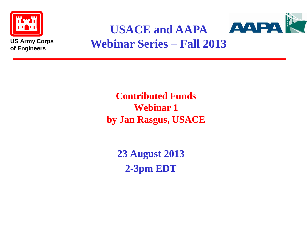



#### **USACE and AAPA Webinar Series – Fall 2013**

**Contributed Funds Webinar 1 by Jan Rasgus, USACE**

**23 August 2013 2-3pm EDT**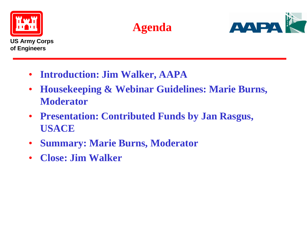





- **Introduction: Jim Walker, AAPA**
- **Housekeeping & Webinar Guidelines: Marie Burns, Moderator**
- **Presentation: Contributed Funds by Jan Rasgus, USACE**
- **Summary: Marie Burns, Moderator**
- **Close: Jim Walker**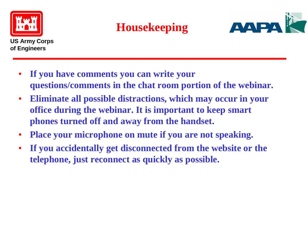

#### **Housekeeping**



- **If you have comments you can write your questions/comments in the chat room portion of the webinar.**
- **Eliminate all possible distractions, which may occur in your office during the webinar. It is important to keep smart phones turned off and away from the handset.**
- **Place your microphone on mute if you are not speaking.**
- **If you accidentally get disconnected from the website or the telephone, just reconnect as quickly as possible.**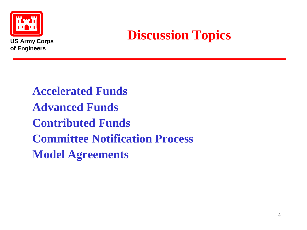

## **Discussion Topics**

**Accelerated Funds Advanced Funds Contributed Funds Committee Notification Process Model Agreements**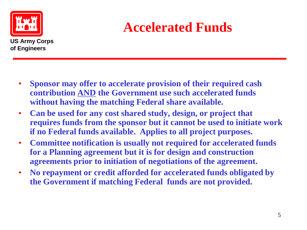

# **Accelerated Funds**

- **Sponsor may offer to accelerate provision of their required cash contribution AND the Government use such accelerated funds without having the matching Federal share available.**
- **Can be used for any cost shared study, design, or project that requires funds from the sponsor but it cannot be used to initiate work if no Federal funds available. Applies to all project purposes.**
- **Committee notification is usually not required for accelerated funds for a Planning agreement but it is for design and construction agreements prior to initiation of negotiations of the agreement.**
- **No repayment or credit afforded for accelerated funds obligated by the Government if matching Federal funds are not provided.**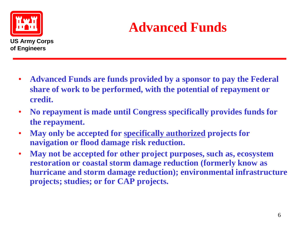

# **Advanced Funds**

- **Advanced Funds are funds provided by a sponsor to pay the Federal share of work to be performed, with the potential of repayment or credit.**
- **No repayment is made until Congress specifically provides funds for the repayment.**
- **May only be accepted for specifically authorized projects for navigation or flood damage risk reduction.**
- **May not be accepted for other project purposes, such as, ecosystem restoration or coastal storm damage reduction (formerly know as hurricane and storm damage reduction); environmental infrastructure projects; studies; or for CAP projects.**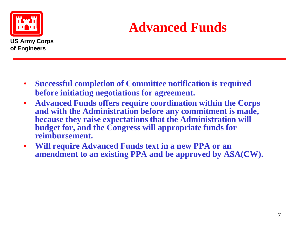

# **Advanced Funds**

- **Successful completion of Committee notification is required before initiating negotiations for agreement.**
- **Advanced Funds offers require coordination within the Corps and with the Administration before any commitment is made, because they raise expectations that the Administration will budget for, and the Congress will appropriate funds for reimbursement.**
- **Will require Advanced Funds text in a new PPA or an amendment to an existing PPA and be approved by ASA(CW).**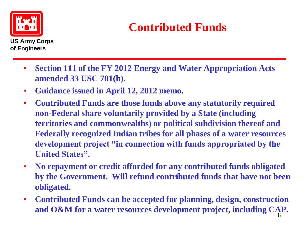

### **Contributed Funds**

- **Section 111 of the FY 2012 Energy and Water Appropriation Acts amended 33 USC 701(h).**
- **Guidance issued in April 12, 2012 memo.**
- **Contributed Funds are those funds above any statutorily required non-Federal share voluntarily provided by a State (including territories and commonwealths) or political subdivision thereof and Federally recognized Indian tribes for all phases of a water resources development project "in connection with funds appropriated by the United States".**
- **No repayment or credit afforded for any contributed funds obligated by the Government. Will refund contributed funds that have not been obligated.**
- **Contributed Funds can be accepted for planning, design, construction and O&M for a water resources development project, including CAP.** 8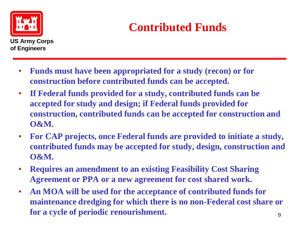

### **Contributed Funds**

- **Funds must have been appropriated for a study (recon) or for construction before contributed funds can be accepted.**
- **If Federal funds provided for a study, contributed funds can be accepted for study and design; if Federal funds provided for construction, contributed funds can be accepted for construction and O&M.**
- **For CAP projects, once Federal funds are provided to initiate a study, contributed funds may be accepted for study, design, construction and O&M.**
- **Requires an amendment to an existing Feasibility Cost Sharing Agreement or PPA or a new agreement for cost shared work.**
- **An MOA will be used for the acceptance of contributed funds for maintenance dredging for which there is no non-Federal cost share or for a cycle of periodic renourishment.**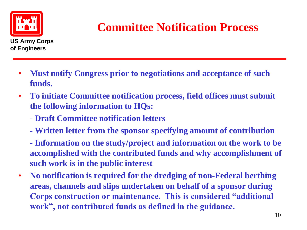

### **Committee Notification Process**

- **Must notify Congress prior to negotiations and acceptance of such funds.**
- **To initiate Committee notification process, field offices must submit the following information to HQs:**
	- **- Draft Committee notification letters**
	- **- Written letter from the sponsor specifying amount of contribution**

**- Information on the study/project and information on the work to be accomplished with the contributed funds and why accomplishment of such work is in the public interest**

• **No notification is required for the dredging of non-Federal berthing areas, channels and slips undertaken on behalf of a sponsor during Corps construction or maintenance. This is considered "additional work", not contributed funds as defined in the guidance.**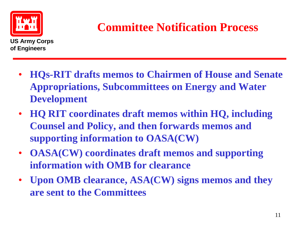

#### **Committee Notification Process**

- **HQs-RIT drafts memos to Chairmen of House and Senate Appropriations, Subcommittees on Energy and Water Development**
- **HQ RIT coordinates draft memos within HQ, including Counsel and Policy, and then forwards memos and supporting information to OASA(CW)**
- **OASA(CW) coordinates draft memos and supporting information with OMB for clearance**
- **Upon OMB clearance, ASA(CW) signs memos and they are sent to the Committees**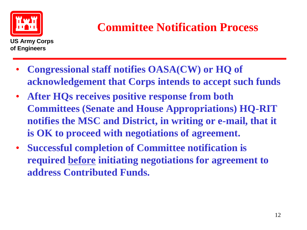

#### **Committee Notification Process**

- **Congressional staff notifies OASA(CW) or HQ of acknowledgement that Corps intends to accept such funds**
- **After HQs receives positive response from both Committees (Senate and House Appropriations) HQ-RIT notifies the MSC and District, in writing or e-mail, that it is OK to proceed with negotiations of agreement.**
- **Successful completion of Committee notification is required before initiating negotiations for agreement to address Contributed Funds.**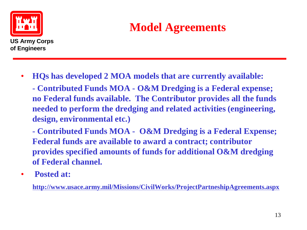

#### **Model Agreements**

- **HQs has developed 2 MOA models that are currently available:**
	- **- Contributed Funds MOA - O&M Dredging is a Federal expense; no Federal funds available. The Contributor provides all the funds needed to perform the dredging and related activities (engineering, design, environmental etc.)**
	- **- Contributed Funds MOA O&M Dredging is a Federal Expense; Federal funds are available to award a contract; contributor provides specified amounts of funds for additional O&M dredging of Federal channel.**
- **Posted at:**

**http://www.usace.army.mil/Missions/CivilWorks/ProjectPartneshipAgreements.aspx**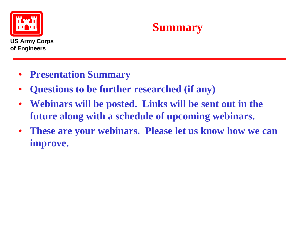



- **Presentation Summary**
- **Questions to be further researched (if any)**
- **Webinars will be posted. Links will be sent out in the future along with a schedule of upcoming webinars.**
- **These are your webinars. Please let us know how we can improve.**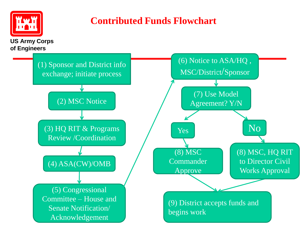

#### **Contributed Funds Flowchart**

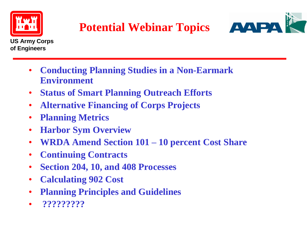

### **Potential Webinar Topics**



- **Conducting Planning Studies in a Non-Earmark Environment**
- **Status of Smart Planning Outreach Efforts**
- **Alternative Financing of Corps Projects**
- **Planning Metrics**
- **Harbor Sym Overview**
- **WRDA Amend Section 101 – 10 percent Cost Share**
- **Continuing Contracts**
- **Section 204, 10, and 408 Processes**
- **Calculating 902 Cost**
- **Planning Principles and Guidelines**
- **?????????**